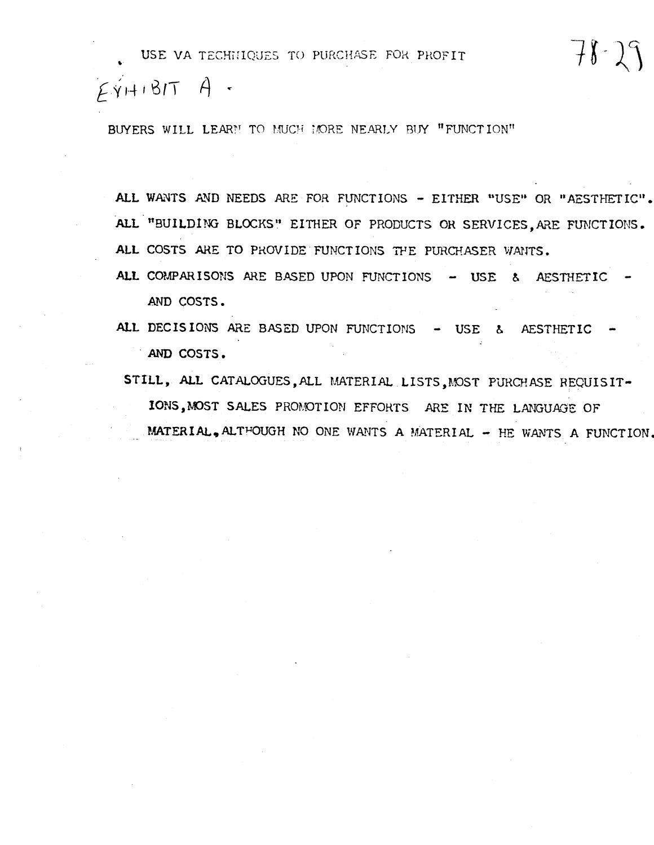$E\acute{v}$ HIBIT A.

BUYERS WILL LEARN TO MUCH MORE NEARLY BUY "FUNCTION"

ALL WANTS AND NEEDS ARE FOR FUNCTIONS - EITHER "USE" OR "AESTHETIC". ALL "BUILDING BLOCKS" EITHER OF PRODUCTS OR SERVICES. ARE FUNCTIONS. ALL COSTS ARE TO PROVIDE FUNCTIONS THE PURCHASER WANTS.

 $78 - 29$ 

ALL COMPARISONS ARE BASED UPON FUNCTIONS - USE & AESTHETIC AND COSTS.

ALL DECISIONS ARE BASED UPON FUNCTIONS - USE & AESTHETIC AND COSTS.

STILL, ALL CATALOGUES, ALL MATERIAL LISTS, MOST PURCHASE REQUISIT-IONS, MOST SALES PROMOTION EFFORTS ARE IN THE LANGUAGE OF MATERIAL, ALTHOUGH NO ONE WANTS A MATERIAL - HE WANTS A FUNCTION.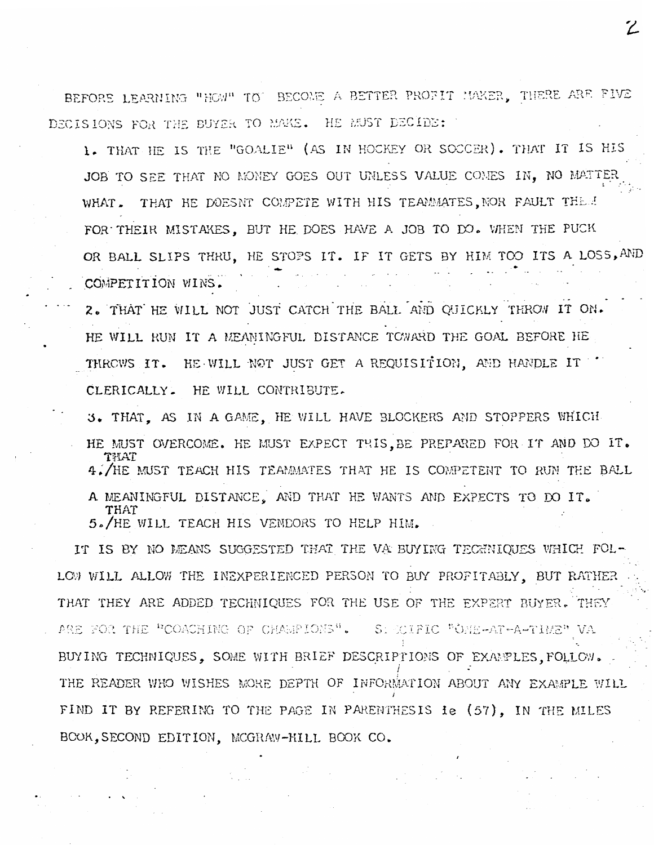BEFORE LEARNING "HOW" TO' BECOME A BETTER PROFIT MAKER, THERE ARE FIVE DECISIONS FOR THE BUYER TO MAKE. HE MUST DECIDE:

1. THAT HE IS THE "GOALIE" (AS IN HOCKEY OR SOCCER). THAT IT IS HIS JOB TO SEE THAT NO MONEY GOES OUT UNLESS VALUE COMES IN. NO MATTER WHAT. THAT HE DOESNT COMPETE WITH HIS TEAMMATES, NOR FAULT THEM FOR THEIR MISTAKES. BUT HE DOES HAVE A JOB TO DO. WHEN THE PUCK OR BALL SLIPS THRU, HE STOPS IT. IF IT GETS BY HIM TOO ITS A LOSS, AND COMPETITION WINS.

2. THAT HE WILL NOT JUST CATCH THE BALL AND QUICKLY THROW IT ON. HE WILL RUN IT A MEANINGFUL DISTANCE TOWARD THE GOAL BEFORE HE THROWS IT. HE WILL NOT JUST GET A REQUISITION. AND HANDLE IT CLERICALLY. HE WILL CONTRIBUTE.

3. THAT. AS IN A GAME. HE WILL HAVE BLOCKERS AND STOPPERS WHICH HE MUST OVERCOME. HE MUST EXPECT THIS. BE PREPARED FOR IT AND DO IT. MAT 4./HE MUST TEACH HIS TEAMMATES THAT HE IS COMPETENT TO RUN THE BALL A MEANINGFUL DISTANCE. AND THAT HE WANTS AND EXPECTS TO DO IT. THAT

5. HE WILL TEACH HIS VENDORS TO HELP HIM.

IT IS BY NO MEANS SUGGESTED THAT THE VA BUYING TECHNIQUES WHICH FOL-LOW WILL ALLOW THE INEXPERIENCED PERSON TO BUY PROFITABLY, BUT RATHER THAT THEY ARE ADDED TECHNIQUES FOR THE USE OF THE EXPERT BUYER. THEY ARE FOR THE "COACHING OF CHAMPIONS". S: COIFIC "ONE-AT-A-TIME" VA BUYING TECHNIQUES. SOME WITH BRIEF DESCRIPTIONS OF EXAMPLES. FOLLOW. THE READER WHO WISHES MORE DEPTH OF INFORMATION ABOUT ANY EXAMPLE WILL FIND IT BY REFERING TO THE PAGE IN PARENTHESIS ie (57), IN THE MILES BOOK, SECOND EDITION, MCGRAW-HILL BOOK CO.

 $\mathbb Z$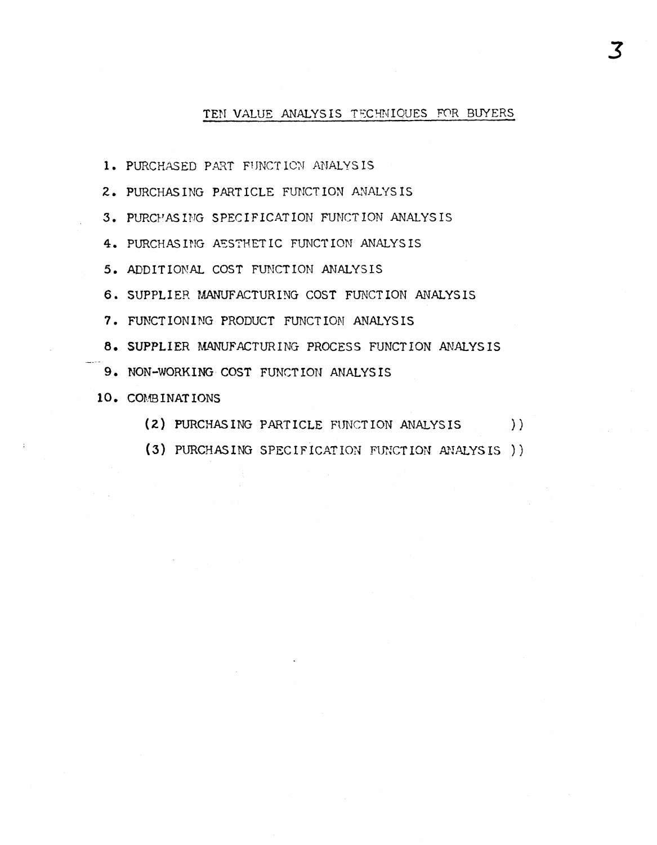## TEN VALUE ANALYSIS TECHNIQUES FOR BUYERS

- 1. PURCHASED PART FUNCTION ANALYSIS
- 2. PURCHASING PARTICLE FUNCTION ANALYSIS
- 3. PURCHASING SPECIFICATION FUNCTION ANALYSIS
- 4. PURCHASING AESTHETIC FUNCTION ANALYSIS
- 5. ADDITIONAL COST FUNCTION ANALYSIS
- 6. SUPPLIER MANUFACTURING COST FUNCTION ANALYSIS
- 7. FUNCTIONING PRODUCT FUNCTION ANALYSIS
- 8. SUPPLIER MANUFACTURING PROCESS FUNCTION ANALYSIS
- 9. NON-WORKING COST FUNCTION ANALYSIS
- 10. COMBINATIONS
	- (2) PURCHASING PARTICLE FUNCTION ANALYSIS  $)$ )
	- (3) PURCHASING SPECIFICATION FUNCTION ANALYSIS)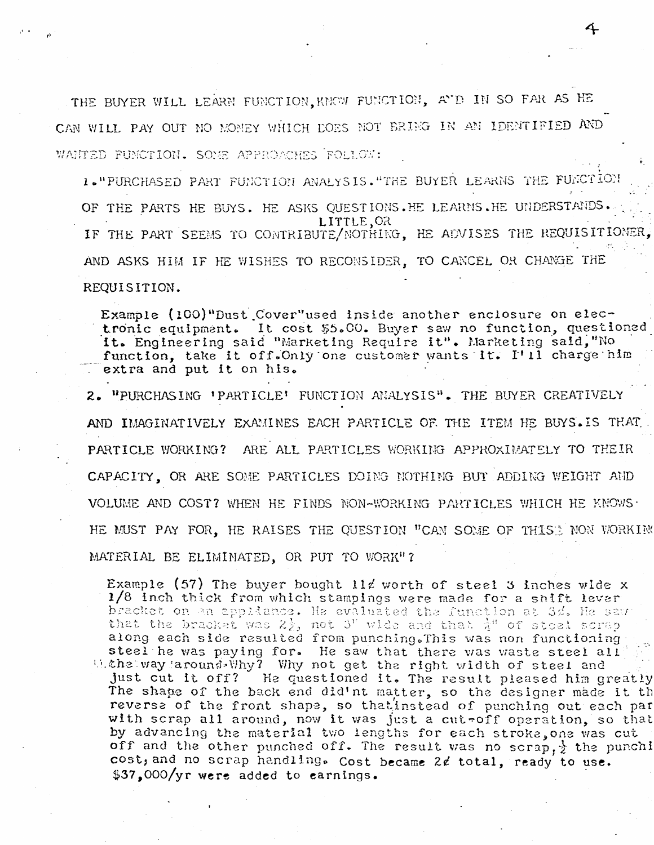THE BUYER WILL LEARN FUNCTION. KNOW FUNCTION, AND IN SO FAR AS HE CAN WILL PAY OUT NO MONEY WHICH DOES NOT BRING IN AN IDENTIFIED AND WANTED FUNCTION. SOME APPROACHES FOLLOW:

1. "PURCHASED PART FUNCTION ANALYSIS. "THE BUYER LEARNS THE FUNCTION OF THE PARTS HE BUYS. HE ASKS QUESTIONS.HE LEARNS.HE UNDERSTANDS. LITTLE, OR IF THE PART SEEMS TO CONTRIBUTE/NOTHING, HE ADVISES THE REQUISITIONER, AND ASKS HIM IF HE WISHES TO RECONSIDER, TO CANCEL OR CHANGE THE REQUISITION.

Example (100)"Dust Cover"used inside another enclosure on electronic equipment. It cost \$5.00. Buyer saw no function, questioned it. Engineering said "Marketing Require it". Marketing said, "No function, take it off. Only one customer wants it. I'll charge him extra and put it on his.

2. "PURCHASING 'PARTICLE' FUNCTION ANALYSIS". THE BUYER CREATIVELY AND IMAGINATIVELY EXAMINES EACH PARTICLE OF THE ITEM HE BUYS. IS THAT. PARTICLE WORKING? ARE ALL PARTICLES WORKING APPROXIMATELY TO THEIR CAPACITY. OR ARE SOME PARTICLES DOING NOTHING BUT ADDING WEIGHT AND VOLUME AND COST? WHEN HE FINDS NON-WORKING PARTICLES WHICH HE KNOWS. HE MUST PAY FOR, HE RAISES THE QUESTION "CAN SOME OF THIST NON WORKING MATERIAL BE ELIMINATED, OR PUT TO WORK"?

Example (57) The buyer bought 11d worth of steel 3 inches wide x 1/8 inch thick from which stampings were made for a shift lever bracket on an appliance. He evaluated the function at 3d. He saw that the bracket was  $2\frac{1}{2}$ , not 3" wide and that  $\frac{1}{4}$ " of steel scrap along each side resulted from punching. This was non functioning steel he was paying for. He saw that there was waste steel all Withs way around Why? Why not get the right width of steel and just cut it off? He questioned it. The result pleased him greatly The shape of the back end did'nt matter, so the designer made it th reverse of the front shape, so that instead of punching out each par with scrap all around, now it was just a cut-off operation, so that by advancing the material two lengths for each stroke, one was cut off and the other punched off. The result was no scrap,  $\frac{1}{2}$  the punchi cost, and no scrap handling. Cost became 2¢ total, ready to use. \$37,000/yr were added to earnings.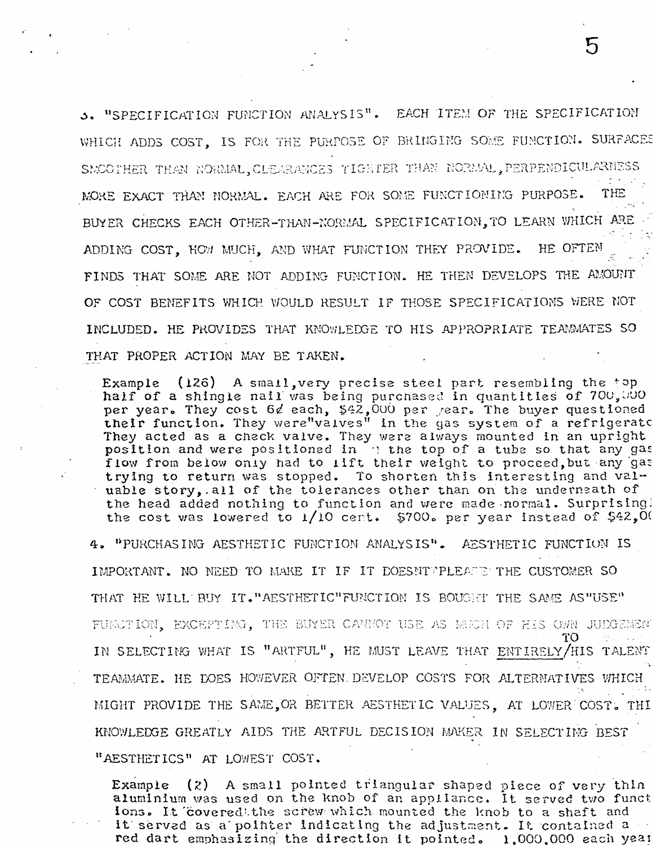3. "SPECIFICATION FUNCTION ANALYSIS". EACH ITEM OF THE SPECIFICATION WHICH ADDS COST, IS FOR THE PURPOSE OF BRINGING SOME FUNCTION. SURFACES SMOOTHER THAN NORMAL, CLEARANCES TIGHTER THAN NORMAL, PERPENDICULARNESS  $\sigma$  ,  $\sigma$  , MORE EXACT THAN NORMAL. EACH ARE FOR SOME FUNCTIONING PURPOSE. THE BUYER CHECKS EACH OTHER-THAN-NORMAL SPECIFICATION, TO LEARN WHICH ARE HE OFTEN ADDING COST, HOW MUCH, AND WHAT FUNCTION THEY PROVIDE. FINDS THAT SOME ARE NOT ADDING FUNCTION. HE THEN DEVELOPS THE AMOUNT OF COST BENEFITS WHICH WOULD RESULT IF THOSE SPECIFICATIONS WERE NOT INCLUDED. HE PROVIDES THAT KNOWLEDGE TO HIS APPROPRIATE TEAMMATES SO THAT PROPER ACTION MAY BE TAKEN.

Example (126) A small, very precise steel part resembling the top half of a shingle nail was being purchased in quantities of 700,000 per year. They cost 6d each, \$42,000 per year. The buyer questioned their function. They were values" in the gas system of a refrigerate They acted as a check valve. They were always mounted in an upright position and were positioned in : the top of a tube so that any gas flow from below only had to lift their weight to proceed, but any gas trying to return was stopped. To shorten this interesting and valuable story, all of the tolerances other than on the underneath of the head added nothing to function and were made normal. Surprisingl the cost was lowered to  $1/10$  cent. \$700. per year instead of \$42,00

4. "PURCHASING AESTHETIC FUNCTION ANALYSIS". AESTHETIC FUNCTION IS IMPORTANT. NO NEED TO MAKE IT IF IT DOESNTPPLEARE THE CUSTOMER SO THAT HE WILL BUY IT. "AESTHETIC" FUNCTION IS BOUGHT THE SAME AS "USE" FUNCTION, EXCEPTING, THE BUYER CANNOT USE AS MUCH OF HIS OWN JUEGEMEN ТO IN SELECTING WHAT IS "ARTFUL", HE MUST LEAVE THAT ENTIRELY/HIS TALENT TEAMMATE. HE DOES HOWEVER OFTEN DEVELOP COSTS FOR ALTERNATIVES WHICH MIGHT PROVIDE THE SAME, OR BETTER AESTHETIC VALUES, AT LOWER COST. THI KNOWLEDGE GREATLY AIDS THE ARTFUL DECISION MAKER IN SELECTING BEST "AESTHETICS" AT LOWEST COST.

(2) A small pointed triangular shaped piece of very thin Example aluminium was used on the knob of an appliance. It served two funct ions. It covered the screw which mounted the knob to a shaft and it served as a pointer indicating the adjustment. It contained a red dart emphasizing the direction it pointed. 1,000,000 each year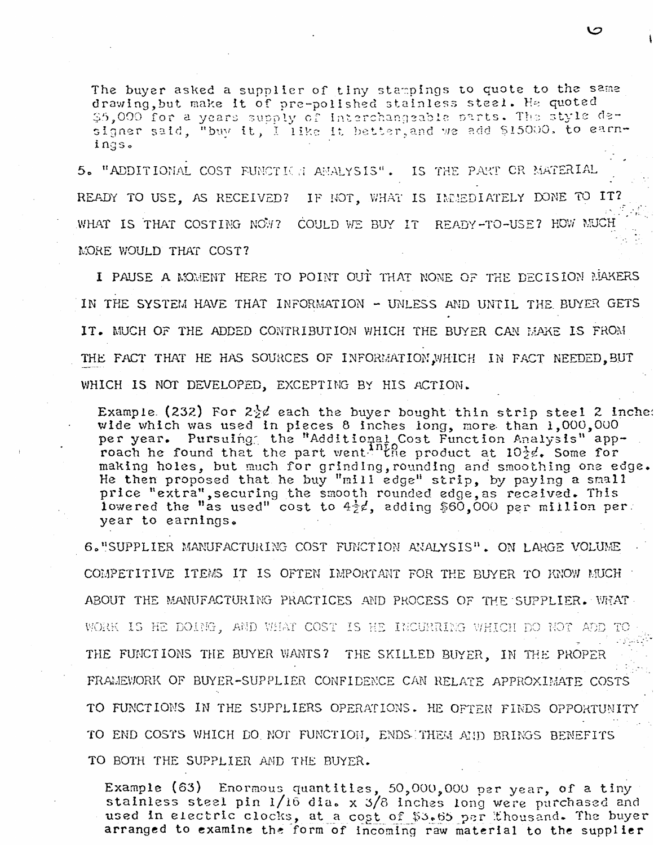The buyer asked a supplier of tiny stampings to quote to the same drawing, but make it of pre-polished stainless steel. He quoted \$5,000 for a years supply of interchangeable parts. The style designer said, "buy it, I like it better, and we add \$15000, to earnings.

5. "ADDITIONAL COST FUNCTION ANALYSIS". IS THE PART OR MATERIAL READY TO USE, AS RECEIVED? IF NOT, WHAT IS IMMEDIATELY DONE TO IT? WHAT IS THAT COSTING NOW? COULD WE BUY IT READY-TO-USE? HOW MUCH MORE WOULD THAT COST?

I PAUSE A MOMENT HERE TO POINT OUT THAT NOME OF THE DECISION MAKERS IN THE SYSTEM HAVE THAT INFORMATION - UNLESS AND UNTIL THE BUYER GETS IT. MUCH OF THE ADDED CONTRIBUTION WHICH THE BUYER CAN MAKE IS FROM THE FACT THAT HE HAS SOURCES OF INFORMATION WHICH IN FACT NEEDED. BUT WHICH IS NOT DEVELOPED. EXCEPTING BY HIS ACTION.

Example (232) For  $2\frac{1}{2}$  each the buyer bought thin strip steel 2 inchere wide which was used in pieces 8 inches long, more than 1,000,000 per year. Pursulng the "Additional Cost Function Analysis" app-<br>roach he found that the part went. The product at 10<sup>3</sup>g. Some for making holes, but much for grinding, rounding and smoothing one edge. He then proposed that he buy "mill edge" strip, by paying a small price "extra", securing the smooth rounded edge, as received. This<br>lowered the "as used" cost to  $4\frac{1}{2}e$ , adding \$60,000 per million per year to earnings.

6. "SUPPLIER MANUFACTURING COST FUNCTION ANALYSIS". ON LARGE VOLUME COMPETITIVE ITEMS IT IS OFTEN IMPORTANT FOR THE BUYER TO KNOW MUCH ABOUT THE MANUFACTURING PRACTICES AND PROCESS OF THE SUPPLIER. WHAT WORK IS HE DOING, AND WHAT COST IS HE INCURRING WHICH DO NOT ADD TO THE FUNCTIONS THE BUYER WANTS? THE SKILLED BUYER. IN THE PROPER FRAMEWORK OF BUYER-SUPPLIER CONFIDENCE CAN RELATE APPROXIMATE COSTS TO FUNCTIONS IN THE SUPPLIERS OPERATIONS. HE OFTEN FINDS OPPORTUNITY TO END COSTS WHICH DO NOT FUNCTION. ENDS THEM AND BRINGS BENEFITS TO BOTH THE SUPPLIER AND THE BUYER.

Example (63) Enormous quantities, 50,000,000 per year, of a tiny stainless steel pin 1/16 dia. x 3/8 inches long were purchased and used in electric clocks, at a cost of \$3.65 per thousand. The buyer arranged to examine the form of incoming raw material to the supplier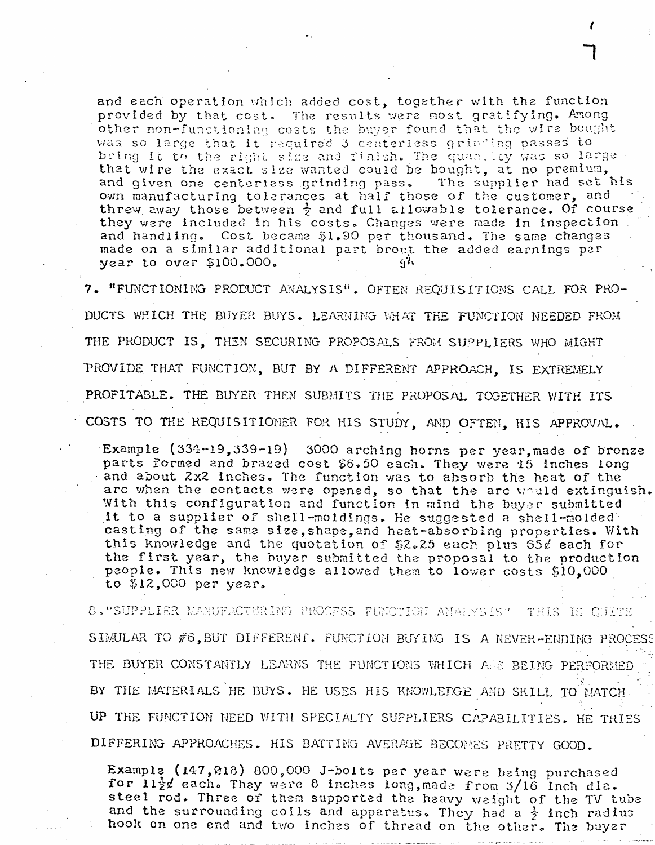and each operation which added cost, together with the function provided by that cost. The results were most gratifying. Among other non-functioning costs the buyer found that the wire bought was so large that it required 3 centeriess grinding passes to bring it to the right size and finish. The quantity was so large that wire the exact size wanted could be bought, at no premium, The supplier had set his and given one centeriess grinding pass. own manufacturing tolerances at half those of the customer, and<br>threw away those between  $\frac{1}{2}$  and full allowable tolerance. Of course they were included in his costs. Changes were made in inspection. and handling. Cost became \$1.90 per thousand. The same changes made on a similar additional part brout the added earnings per year to over \$100.000.  $c_1$ <sup>1</sup>

7. "FUNCTIONING PRODUCT ANALYSIS". OFTEN REQUISITIONS CALL FOR PRO-DUCTS WHICH THE BUYER BUYS. LEARNING WHAT THE FUNCTION NEEDED FROM THE PRODUCT IS, THEN SECURING PROPOSALS FROM SUPPLIERS WHO MIGHT PROVIDE THAT FUNCTION, BUT BY A DIFFERENT APPROACH. IS EXTREMELY PROFITABLE. THE BUYER THEN SUBMITS THE PROPOSAL TOGETHER WITH ITS COSTS TO THE REQUISITIONER FOR HIS STUDY, AND OFTEN, HIS APPROVAL.

Example  $(334-19,339-19)$ 3000 arching horns per year, made of bronze parts formed and brazed cost \$6.50 each. They were 15 inches long and about 2x2 inches. The function was to absorb the heat of the arc when the contacts were opened, so that the arc would extinguish. With this configuration and function in mind the buyer submitted it to a supplier of shell-moldings. He suggested a shell-molded casting of the same size, shape, and heat-absorbing properties. With this knowledge and the quotation of \$2.25 each plus  $65\ell$  each for the first year, the buyer submitted the proposal to the production people. This new knowledge allowed them to lower costs \$10,000 to  $$12,000$  per year.

8. "SUPPLIER MANUFACTURING PROCESS FUNCTION ANALYSIS" . THIS IS OUITE SIMULAR TO #6, BUT DIFFERENT. FUNCTION BUYING IS A NEVER-ENDING PROCESS THE BUYER CONSTANTLY LEARNS THE FUNCTIONS WHICH ANE BEING PERFORMED BY THE MATERIALS HE BUYS. HE USES HIS KNOWLEDGE AND SKILL TO MATCH UP THE FUNCTION NEED WITH SPECIALTY SUPPLIERS CAPABILITIES. HE TRIES DIFFERING APPROACHES. HIS BATTING AVERAGE BECOMES PRETTY GOOD.

Example (147,218) 800,000 J-bolts per year were being purchased for  $11\frac{1}{2}$  each. They were 8 inches long, made from 3/16 inch dia. steal rod. Three of them supported the heavy weight of the TV tube and the surrounding coils and apparatus. They had a  $\frac{1}{2}$  inch radius hook on one end and two inches of thread on the other. The buyer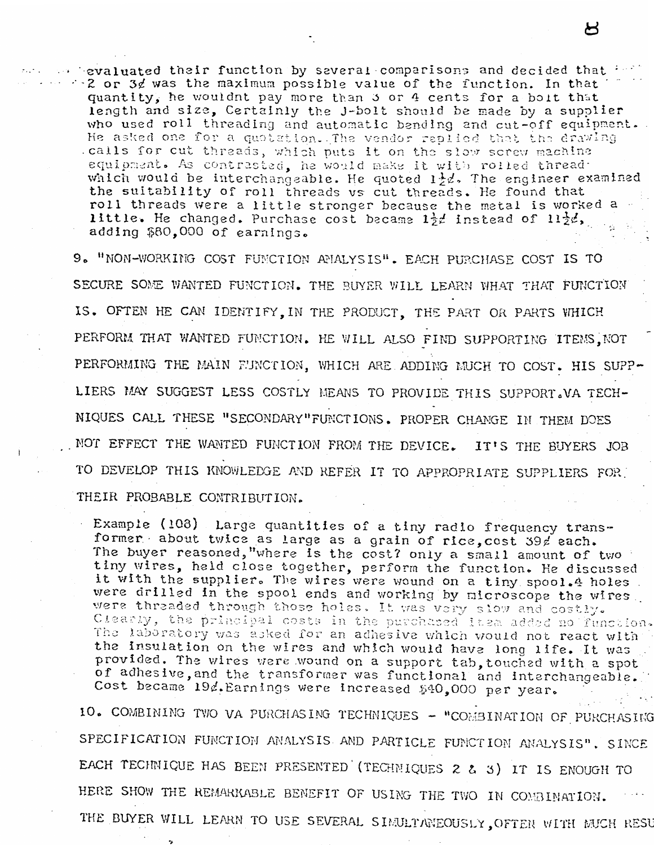$\sim$  evaluated their function by several comparisons and decided that  $\sim$  $\sim$  2 or 3 $d$  was the maximum possible value of the function. In that quantity, he wouldnt pay more than 3 or 4 cents for a boit that length and size, Certainly the J-bolt should be made by a supplier who used roll threading and automatic bending and cut-off equipment. He asked one for a quotation. The vendor replied that the drawing .calls for cut threads, which puts it on the slow screw machine equipment. As contrasted, he would make it with rolled thread. which would be interchangeable. He quoted  $1\frac{1}{2}d$ , The engineer examined the suitability of roll threads vs cut threads. He found that roll threads were a little stronger because the metal is worked a little. He changed. Purchase cost became  $1\frac{1}{2}t$  instead of  $11\frac{1}{2}t$ , adding \$80.000 of earnings.

9. "NON-WORKING COST FUNCTION ANALYSIS". EACH PURCHASE COST IS TO SECURE SOME WANTED FUNCTION. THE BUYER WILL LEARN WHAT THAT FUNCTION IS. OFTEN HE CAN IDENTIFY. IN THE PRODUCT. THE PART OR PARTS WHICH PERFORM THAT WANTED FUNCTION. HE WILL ALSO FIND SUPPORTING ITEMS, NOT PERFORMING THE MAIN FUNCTION. WHICH ARE ADDING MUCH TO COST. HIS SUPP-LIERS MAY SUGGEST LESS COSTLY MEANS TO PROVIDE THIS SUPPORT. VA TECH-NIQUES CALL THESE "SECONDARY" FUNCTIONS. PROPER CHANGE IN THEM DOES NOT EFFECT THE WANTED FUNCTION FROM THE DEVICE. IT'S THE BUYERS JOB TO DEVELOP THIS KNOWLEDGE AND REFER IT TO APPROPRIATE SUPPLIERS FOR THEIR PROBABLE CONTRIBUTION.

Example (108) Large quantities of a tiny radio frequency transformer about twice as large as a grain of rice, cost 39 / each. The buyer reasoned, "where is the cost? only a small amount of two tiny wires, held close together, perform the function. He discussed it with the supplier. The wires were wound on a tiny spool.4 holes. were drilled in the spool ends and working by microscope the wires. were threaded through those holes. It was very slow and costly. Clearly, the principal costs in the purchased item added no function. The laboratory was asked for an adhesive which would not react with the insulation on the wires and which would have long life. It was provided. The wires were wound on a support tab, touched with a spot of adhesive, and the transformer was functional and interchangeable. Cost became 19d. Earnings were increased \$40,000 per year.

10. COMBINING TWO VA PURCHASING TECHNIQUES - "COMBINATION OF PURCHASING SPECIFICATION FUNCTION ANALYSIS AND PARTICLE FUNCTION ANALYSIS". SINCE EACH TECHNIQUE HAS BEEN PRESENTED (TECHNIQUES 2 & 3) IT IS ENOUGH TO HERE SHOW THE REMARKABLE BENEFIT OF USING THE TWO IN COMBINATION. THE BUYER WILL LEARN TO USE SEVERAL SIMULTANEOUSLY, OFTEN WITH MUCH RESU